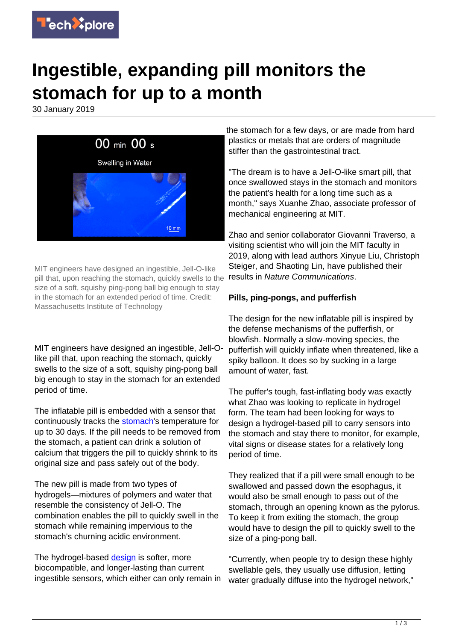

## **Ingestible, expanding pill monitors the stomach for up to a month**

30 January 2019



MIT engineers have designed an ingestible, Jell-O-like pill that, upon reaching the stomach, quickly swells to the size of a soft, squishy ping-pong ball big enough to stay in the stomach for an extended period of time. Credit: Massachusetts Institute of Technology

MIT engineers have designed an ingestible, Jell-Olike pill that, upon reaching the stomach, quickly swells to the size of a soft, squishy ping-pong ball big enough to stay in the stomach for an extended period of time.

The inflatable pill is embedded with a sensor that continuously tracks the [stomach](https://techxplore.com/tags/stomach/)'s temperature for up to 30 days. If the pill needs to be removed from the stomach, a patient can drink a solution of calcium that triggers the pill to quickly shrink to its original size and pass safely out of the body.

The new pill is made from two types of hydrogels—mixtures of polymers and water that resemble the consistency of Jell-O. The combination enables the pill to quickly swell in the stomach while remaining impervious to the stomach's churning acidic environment.

The hydrogel-based [design](https://techxplore.com/tags/design/) is softer, more biocompatible, and longer-lasting than current ingestible sensors, which either can only remain in

the stomach for a few days, or are made from hard plastics or metals that are orders of magnitude stiffer than the gastrointestinal tract.

"The dream is to have a Jell-O-like smart pill, that once swallowed stays in the stomach and monitors the patient's health for a long time such as a month," says Xuanhe Zhao, associate professor of mechanical engineering at MIT.

Zhao and senior collaborator Giovanni Traverso, a visiting scientist who will join the MIT faculty in 2019, along with lead authors Xinyue Liu, Christoph Steiger, and Shaoting Lin, have published their results in Nature Communications.

## **Pills, ping-pongs, and pufferfish**

The design for the new inflatable pill is inspired by the defense mechanisms of the pufferfish, or blowfish. Normally a slow-moving species, the pufferfish will quickly inflate when threatened, like a spiky balloon. It does so by sucking in a large amount of water, fast.

The puffer's tough, fast-inflating body was exactly what Zhao was looking to replicate in hydrogel form. The team had been looking for ways to design a hydrogel-based pill to carry sensors into the stomach and stay there to monitor, for example, vital signs or disease states for a relatively long period of time.

They realized that if a pill were small enough to be swallowed and passed down the esophagus, it would also be small enough to pass out of the stomach, through an opening known as the pylorus. To keep it from exiting the stomach, the group would have to design the pill to quickly swell to the size of a ping-pong ball.

"Currently, when people try to design these highly swellable gels, they usually use diffusion, letting water gradually diffuse into the hydrogel network,"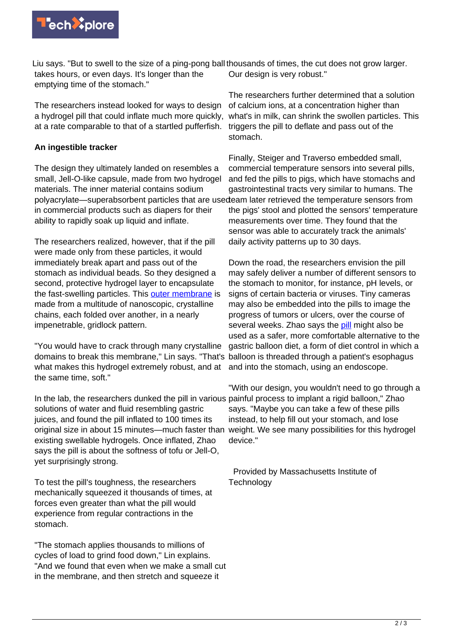

Liu says. "But to swell to the size of a ping-pong ball thousands of times, the cut does not grow larger. takes hours, or even days. It's longer than the emptying time of the stomach."

The researchers instead looked for ways to design a hydrogel pill that could inflate much more quickly, at a rate comparable to that of a startled pufferfish.

## **An ingestible tracker**

The design they ultimately landed on resembles a small, Jell-O-like capsule, made from two hydrogel materials. The inner material contains sodium polyacrylate—superabsorbent particles that are usedeam later retrieved the temperature sensors from in commercial products such as diapers for their ability to rapidly soak up liquid and inflate.

The researchers realized, however, that if the pill were made only from these particles, it would immediately break apart and pass out of the stomach as individual beads. So they designed a second, protective hydrogel layer to encapsulate the fast-swelling particles. This [outer membrane](https://techxplore.com/tags/outer+membrane/) is made from a multitude of nanoscopic, crystalline chains, each folded over another, in a nearly impenetrable, gridlock pattern.

"You would have to crack through many crystalline domains to break this membrane," Lin says. "That's balloon is threaded through a patient's esophagus what makes this hydrogel extremely robust, and at the same time, soft."

In the lab, the researchers dunked the pill in various painful process to implant a rigid balloon," Zhao solutions of water and fluid resembling gastric juices, and found the pill inflated to 100 times its original size in about 15 minutes—much faster than weight. We see many possibilities for this hydrogel existing swellable hydrogels. Once inflated, Zhao says the pill is about the softness of tofu or Jell-O, yet surprisingly strong.

To test the pill's toughness, the researchers mechanically squeezed it thousands of times, at forces even greater than what the pill would experience from regular contractions in the stomach.

"The stomach applies thousands to millions of cycles of load to grind food down," Lin explains. "And we found that even when we make a small cut in the membrane, and then stretch and squeeze it

Our design is very robust."

The researchers further determined that a solution of calcium ions, at a concentration higher than what's in milk, can shrink the swollen particles. This triggers the pill to deflate and pass out of the stomach.

Finally, Steiger and Traverso embedded small, commercial temperature sensors into several pills, and fed the pills to pigs, which have stomachs and gastrointestinal tracts very similar to humans. The the pigs' stool and plotted the sensors' temperature measurements over time. They found that the sensor was able to accurately track the animals' daily activity patterns up to 30 days.

Down the road, the researchers envision the pill may safely deliver a number of different sensors to the stomach to monitor, for instance, pH levels, or signs of certain bacteria or viruses. Tiny cameras may also be embedded into the pills to image the progress of tumors or ulcers, over the course of several weeks. Zhao says the [pill](https://techxplore.com/tags/pill/) might also be used as a safer, more comfortable alternative to the gastric balloon diet, a form of diet control in which a and into the stomach, using an endoscope.

"With our design, you wouldn't need to go through a says. "Maybe you can take a few of these pills instead, to help fill out your stomach, and lose device."

 Provided by Massachusetts Institute of **Technology**